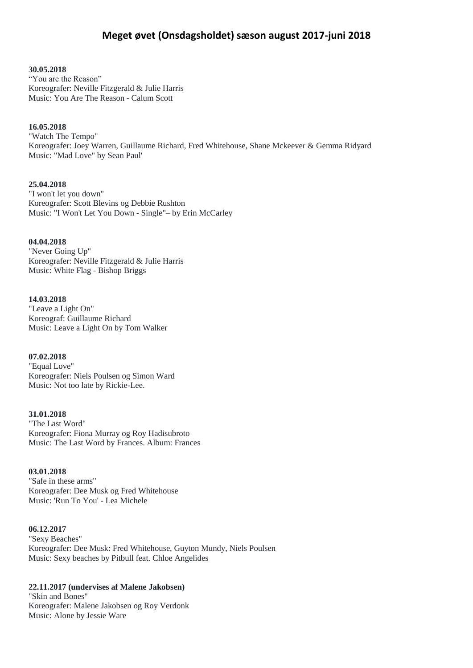# **Meget øvet (Onsdagsholdet) sæson august 2017-juni 2018**

**30.05.2018**

"You are the Reason" Koreografer: Neville Fitzgerald & Julie Harris Music: You Are The Reason - Calum Scott

## **16.05.2018**

"Watch The Tempo" Koreografer: Joey Warren, Guillaume Richard, Fred Whitehouse, Shane Mckeever & Gemma Ridyard Music: "Mad Love" by Sean Paul'

**25.04.2018**

"I won't let you down" Koreografer: Scott Blevins og Debbie Rushton Music: "I Won't Let You Down - Single"– by Erin McCarley

**04.04.2018**

"Never Going Up" Koreografer: Neville Fitzgerald & Julie Harris Music: White Flag - Bishop Briggs

**14.03.2018**

"Leave a Light On" Koreograf: Guillaume Richard Music: Leave a Light On by Tom Walker

**07.02.2018** "Equal Love" Koreografer: Niels Poulsen og Simon Ward Music: Not too late by Rickie-Lee.

**31.01.2018** "The Last Word" Koreografer: Fiona Murray og Roy Hadisubroto Music: The Last Word by Frances. Album: Frances

**03.01.2018** "Safe in these arms" Koreografer: Dee Musk og Fred Whitehouse Music: 'Run To You' - Lea Michele

**06.12.2017**

"Sexy Beaches" Koreografer: Dee Musk: Fred Whitehouse, Guyton Mundy, Niels Poulsen Music: Sexy beaches by Pitbull feat. Chloe Angelides

## **22.11.2017 (undervises af Malene Jakobsen)**

"Skin and Bones" Koreografer: Malene Jakobsen og Roy Verdonk Music: Alone by Jessie Ware